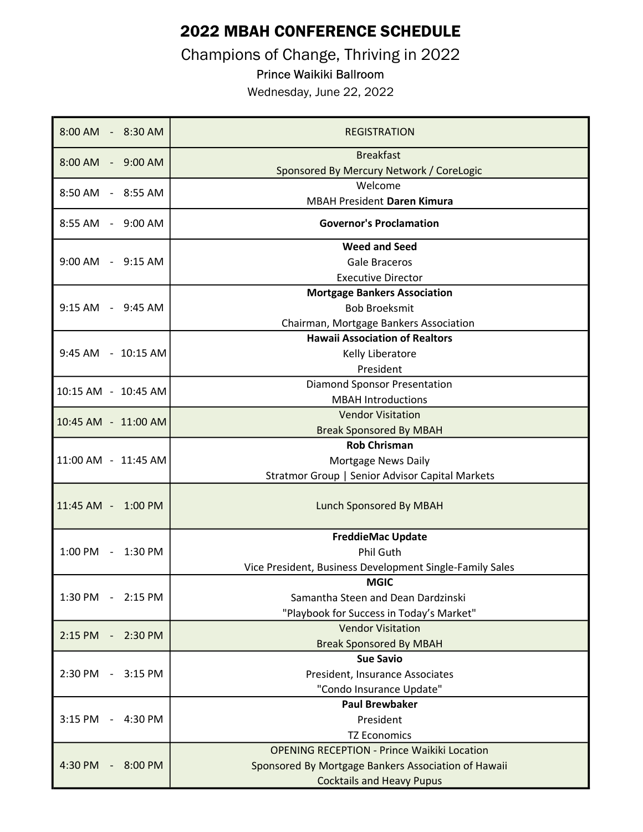## 2022 MBAH CONFERENCE SCHEDULE

Champions of Change, Thriving in 2022

## Prince Waikiki Ballroom

Wednesday, June 22, 2022

| 8:00 AM - 8:30 AM                                  | <b>REGISTRATION</b>                                          |
|----------------------------------------------------|--------------------------------------------------------------|
| 8:00 AM - 9:00 AM                                  | <b>Breakfast</b><br>Sponsored By Mercury Network / CoreLogic |
| 8:50 AM - 8:55 AM                                  | Welcome<br><b>MBAH President Daren Kimura</b>                |
| 8:55 AM - 9:00 AM                                  | <b>Governor's Proclamation</b>                               |
| 9:00 AM - 9:15 AM                                  | <b>Weed and Seed</b>                                         |
|                                                    | <b>Gale Braceros</b>                                         |
|                                                    | <b>Executive Director</b>                                    |
| 9:15 AM - 9:45 AM                                  | <b>Mortgage Bankers Association</b>                          |
|                                                    | <b>Bob Broeksmit</b>                                         |
|                                                    | Chairman, Mortgage Bankers Association                       |
| 9:45 AM - 10:15 AM                                 | <b>Hawaii Association of Realtors</b>                        |
|                                                    | Kelly Liberatore                                             |
|                                                    | President                                                    |
| 10:15 AM - 10:45 AM                                | <b>Diamond Sponsor Presentation</b>                          |
|                                                    | <b>MBAH Introductions</b>                                    |
| 10:45 AM - 11:00 AM                                | <b>Vendor Visitation</b>                                     |
|                                                    | <b>Break Sponsored By MBAH</b>                               |
| 11:00 AM - 11:45 AM                                | <b>Rob Chrisman</b>                                          |
|                                                    | Mortgage News Daily                                          |
|                                                    | Stratmor Group   Senior Advisor Capital Markets              |
| 11:45 AM - 1:00 PM                                 | Lunch Sponsored By MBAH                                      |
| 1:00 PM - 1:30 PM                                  | <b>FreddieMac Update</b>                                     |
|                                                    | Phil Guth                                                    |
|                                                    | Vice President, Business Development Single-Family Sales     |
| 1:30 PM<br>2:15 PM<br>$\sim$                       | <b>MGIC</b>                                                  |
|                                                    | Samantha Steen and Dean Dardzinski                           |
|                                                    | "Playbook for Success in Today's Market"                     |
| 2:15 PM<br>2:30 PM                                 | <b>Vendor Visitation</b>                                     |
|                                                    | <b>Break Sponsored By MBAH</b>                               |
| 2:30 PM<br>$3:15$ PM<br>$\overline{\phantom{a}}$   | <b>Sue Savio</b>                                             |
|                                                    | President, Insurance Associates                              |
|                                                    | "Condo Insurance Update"                                     |
| 3:15 PM<br>$-4:30$ PM                              | <b>Paul Brewbaker</b>                                        |
|                                                    | President                                                    |
|                                                    | <b>TZ Economics</b>                                          |
| 4:30 PM<br>8:00 PM<br>$\qquad \qquad \blacksquare$ | <b>OPENING RECEPTION - Prince Waikiki Location</b>           |
|                                                    | Sponsored By Mortgage Bankers Association of Hawaii          |
|                                                    | <b>Cocktails and Heavy Pupus</b>                             |